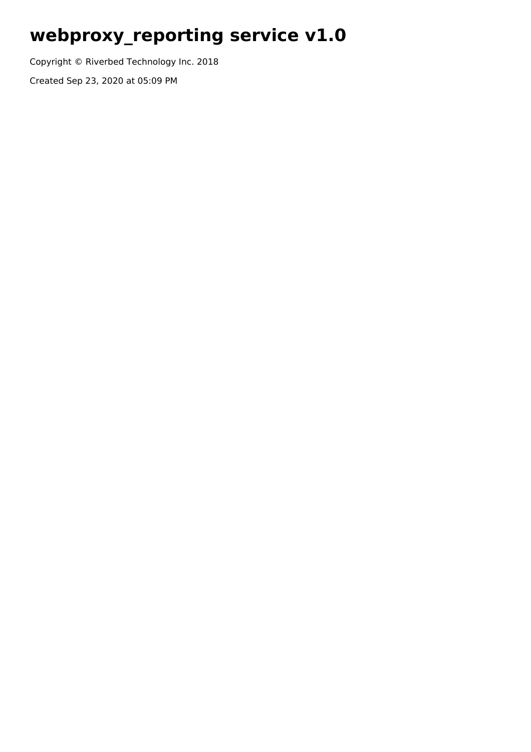# **webproxy\_reporting service v1.0**

Copyright © Riverbed Technology Inc. 2018

Created Sep 23, 2020 at 05:09 PM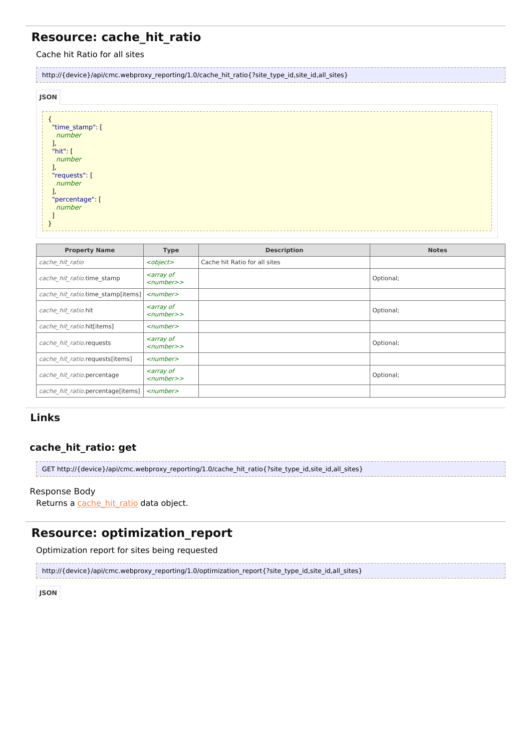# **Resource: cache\_hit\_ratio**

Cache hit Ratio for all sites 

| http://{device}/api/cmc.webproxy_reporting/1.0/cache_hit_ratio{?site_type_id,site_id,all_sites}                 |  |  |  |  |
|-----------------------------------------------------------------------------------------------------------------|--|--|--|--|
| <b>JSON</b>                                                                                                     |  |  |  |  |
| "time_stamp": [<br>number<br>J,<br>"hit": $[$<br>number<br>"requests": [<br>number<br>"percentage": [<br>number |  |  |  |  |

| <b>Property Name</b>              | <b>Type</b>                                                  | <b>Description</b>            | <b>Notes</b> |
|-----------------------------------|--------------------------------------------------------------|-------------------------------|--------------|
| cache hit ratio                   | <object></object>                                            | Cache hit Ratio for all sites |              |
| cache hit ratio.time stamp        | <i><b><array b="" of<=""></array></b></i><br>$<$ number $>$  |                               | Optional;    |
| cache hit ratio.time stamp[items] | $\le$ number $>$                                             |                               |              |
| cache hit ratio.hit               | <i><b><array b="" of<=""></array></b></i><br>$<$ number $>$  |                               | Optional;    |
| cache hit ratio.hit[items]        | $\le$ number $>$                                             |                               |              |
| cache hit ratio.requests          | <i><b><array b="" of<=""></array></b></i><br>$<$ number $>$  |                               | Optional;    |
| cache hit ratio.requests[items]   | $\le$ number $>$                                             |                               |              |
| cache hit ratio.percentage        | <i><b><array b="" of<=""></array></b></i><br>$<$ number $>>$ |                               | Optional;    |
| cache hit ratio.percentage[items] | $\le$ number $>$                                             |                               |              |

## **Links**

### **cache\_hit\_ratio: get**

GET http://{device}/api/cmc.webproxy\_reporting/1.0/cache\_hit\_ratio{?site\_type\_id,site\_id,all\_sites}

#### Response Body

Returns a [cache\\_hit\\_ratio](http://support.riverbed.com/apis/webproxy_reporting/1.0#/resources/cache_hit_ratio) data object.

## **Resource: optimization\_report**

Optimization report for sites being requested

http://{device}/api/cmc.webproxy\_reporting/1.0/optimization\_report{?site\_type\_id,site\_id,all\_sites}

**JSON**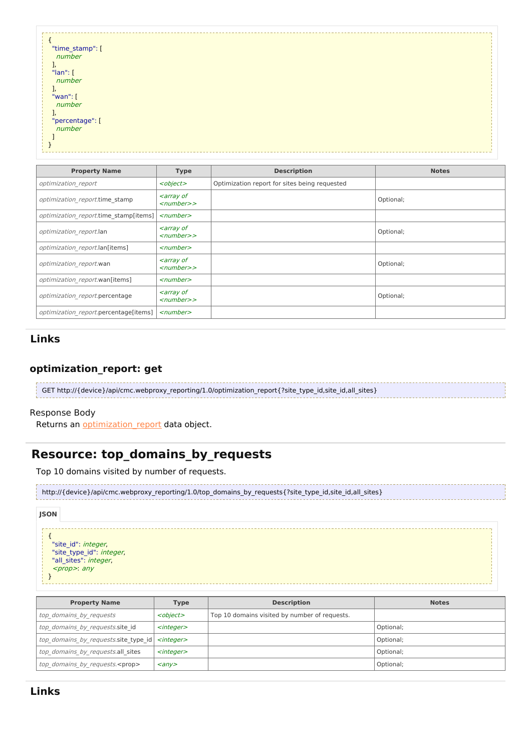| "time_stamp": [ |  |
|-----------------|--|
|                 |  |
| number          |  |
|                 |  |
| J,              |  |
|                 |  |
| " $lan$ ": [    |  |
| number          |  |
|                 |  |
|                 |  |
|                 |  |
| "wan": [        |  |
|                 |  |
| number          |  |
|                 |  |
|                 |  |
| "percentage": [ |  |
|                 |  |
| number          |  |
|                 |  |
|                 |  |
|                 |  |
|                 |  |
|                 |  |
|                 |  |
|                 |  |

| <b>Property Name</b>                  | <b>Type</b>                                                 | <b>Description</b>                            | <b>Notes</b> |
|---------------------------------------|-------------------------------------------------------------|-----------------------------------------------|--------------|
| optimization report                   | <object></object>                                           | Optimization report for sites being requested |              |
| optimization report.time stamp        | <i><b><array b="" of<=""></array></b></i><br>$<$ number $>$ |                                               | Optional;    |
| optimization report.time stamp[items] | $<$ number $>$                                              |                                               |              |
| optimization report.lan               | <i><b><array b="" of<=""></array></b></i><br>$<$ number $>$ |                                               | Optional;    |
| optimization report.lan[items]        | $<$ number $>$                                              |                                               |              |
| optimization report.wan               | <i><b><array b="" of<=""></array></b></i><br>$<$ number $>$ |                                               | Optional;    |
| optimization report.wan[items]        | $<$ number $>$                                              |                                               |              |
| optimization report.percentage        | <i><b><array b="" of<=""></array></b></i><br>$<$ number $>$ |                                               | Optional;    |
| optimization report.percentage[items] | $<$ number $>$                                              |                                               |              |

#### **Links**

## **optimization\_report: get**

| GET http://{device}/api/cmc.webproxy_reporting/1.0/optimization_report{?site_type_id,site_id,all_sites} |
|---------------------------------------------------------------------------------------------------------|
|                                                                                                         |

#### Response Body

Returns an **optimization** report data object.

# **Resource: top\_domains\_by\_requests**

Top 10 domains visited by number of requests.

| http://{device}/api/cmc.webproxy_reporting/1.0/top_domains_by_requests{?site_type_id,site_id,all_sites} |  |
|---------------------------------------------------------------------------------------------------------|--|
| JSON                                                                                                    |  |



| <b>Property Name</b>                                       | <b>Type</b>         | <b>Description</b>                            | <b>Notes</b> |
|------------------------------------------------------------|---------------------|-----------------------------------------------|--------------|
| top domains by requests                                    | <object></object>   | Top 10 domains visited by number of requests. |              |
| top domains by requests.site id                            | <integer></integer> |                                               | Optional;    |
| top domains by requests site type id   <integer></integer> |                     |                                               | Optional;    |
| top domains by requests.all sites                          | <integer></integer> |                                               | Optional;    |
| top domains by requests. <prop></prop>                     | $\langle \rangle$   |                                               | Optional;    |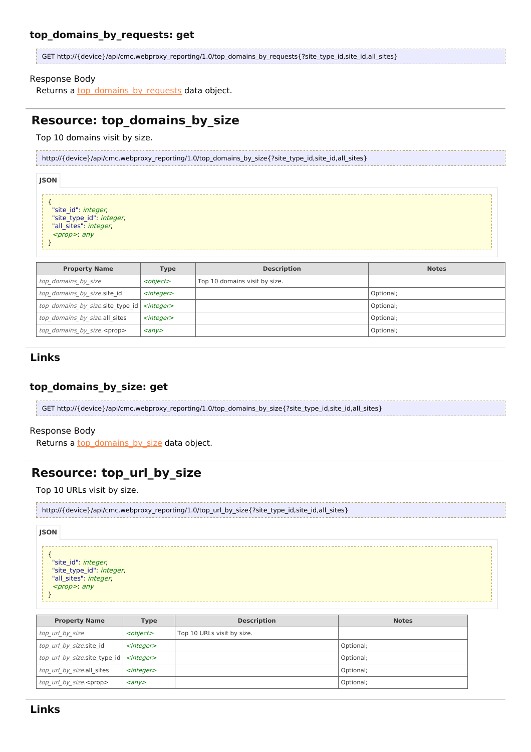#### **top\_domains\_by\_requests: get**

| GET http://{device}/api/cmc.webproxy_reporting/1.0/top_domains_by_requests{?site_type_id,site_id,all_sites} |
|-------------------------------------------------------------------------------------------------------------|
|                                                                                                             |

#### Response Body

Returns a **[top\\_domains\\_by\\_requests](http://support.riverbed.com/apis/webproxy_reporting/1.0#/resources/top_domains_by_requests)** data object.

# **Resource: top\_domains\_by\_size**

Top 10 domains visit by size.

|             | http://{device}/api/cmc.webproxy reporting/1.0/top domains by size{?site type id,site id,all sites} |  |
|-------------|-----------------------------------------------------------------------------------------------------|--|
| <b>JSON</b> |                                                                                                     |  |
|             | "site id": integer,<br>"site_type_id": integer,<br>"all sites": integer,<br>$<$ prop>: any          |  |

| <b>Property Name</b>                                   | Type                    | <b>Description</b>            | <b>Notes</b> |
|--------------------------------------------------------|-------------------------|-------------------------------|--------------|
| top domains by size                                    | <object></object>       | Top 10 domains visit by size. |              |
| top domains by size.site id                            | <integer></integer>     |                               | Optional;    |
| top domains by size site type id   <integer></integer> |                         |                               | Optional;    |
| top domains by size.all sites                          | <integer></integer>     |                               | Optional;    |
| top domains by size. <prop></prop>                     | $\langle$ any $\rangle$ |                               | Optional;    |

#### **Links**

#### **top\_domains\_by\_size: get**

GET http://{device}/api/cmc.webproxy\_reporting/1.0/top\_domains\_by\_size{?site\_type\_id,site\_id,all\_sites}

#### Response Body

Returns a [top\\_domains\\_by\\_size](http://support.riverbed.com/apis/webproxy_reporting/1.0#/resources/top_domains_by_size) data object.

# **Resource: top\_url\_by\_size**

Top 10 URLs visit by size.

```
http://{device}/api/cmc.webproxy_reporting/1.0/top_url_by_size{?site_type_id,site_id,all_sites}
```
#### **JSON**

- { "site\_id": integer, "site type id": *integer*, "all\_sites": integer,  $rop>: any$
- }

**Property Name Type Description Description Notes** top\_url\_by\_size <object> Top 10 URLs visit by size. top\_url\_by\_size.site\_id <integer> Optional; top\_url\_by\_size.site\_type\_id  $\vert$  <integer>  $\vert$ top url by size.all sites  $\left| \right|$  <integer>  $\left| \right|$  and the optional; top\_url\_by\_size.<prop>  $\left\vert$  <any> Optional;